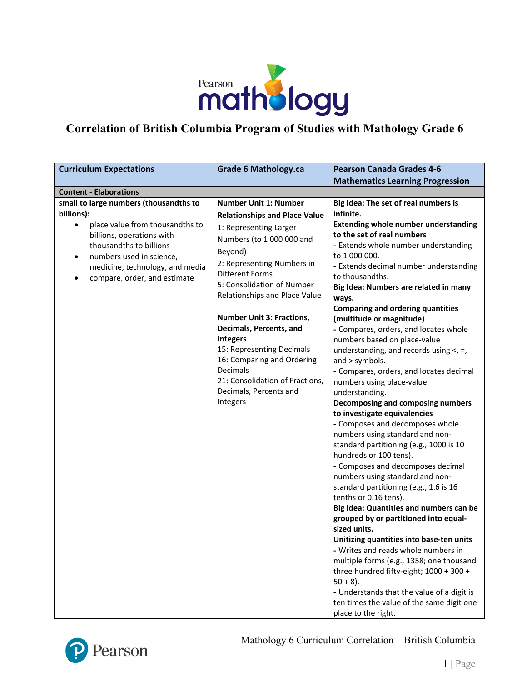

## **Correlation of British Columbia Program of Studies with Mathology Grade 6**

| <b>Curriculum Expectations</b>                                                                                                                                                                                                                      | <b>Grade 6 Mathology.ca</b>                                                                                                                                                                                                                                                                                                                                                                                                                                                                     | <b>Pearson Canada Grades 4-6</b>                                                                                                                                                                                                                                                                                                                                                                                                                                                                                                                                                                                                                                                                                                                                                                                                                                                                                                                                                                                                                                                                                                                                                                                                                                                                                                                                                               |
|-----------------------------------------------------------------------------------------------------------------------------------------------------------------------------------------------------------------------------------------------------|-------------------------------------------------------------------------------------------------------------------------------------------------------------------------------------------------------------------------------------------------------------------------------------------------------------------------------------------------------------------------------------------------------------------------------------------------------------------------------------------------|------------------------------------------------------------------------------------------------------------------------------------------------------------------------------------------------------------------------------------------------------------------------------------------------------------------------------------------------------------------------------------------------------------------------------------------------------------------------------------------------------------------------------------------------------------------------------------------------------------------------------------------------------------------------------------------------------------------------------------------------------------------------------------------------------------------------------------------------------------------------------------------------------------------------------------------------------------------------------------------------------------------------------------------------------------------------------------------------------------------------------------------------------------------------------------------------------------------------------------------------------------------------------------------------------------------------------------------------------------------------------------------------|
|                                                                                                                                                                                                                                                     |                                                                                                                                                                                                                                                                                                                                                                                                                                                                                                 | <b>Mathematics Learning Progression</b>                                                                                                                                                                                                                                                                                                                                                                                                                                                                                                                                                                                                                                                                                                                                                                                                                                                                                                                                                                                                                                                                                                                                                                                                                                                                                                                                                        |
| <b>Content - Elaborations</b>                                                                                                                                                                                                                       |                                                                                                                                                                                                                                                                                                                                                                                                                                                                                                 |                                                                                                                                                                                                                                                                                                                                                                                                                                                                                                                                                                                                                                                                                                                                                                                                                                                                                                                                                                                                                                                                                                                                                                                                                                                                                                                                                                                                |
| small to large numbers (thousandths to<br>billions):<br>place value from thousandths to<br>billions, operations with<br>thousandths to billions<br>numbers used in science,<br>٠<br>medicine, technology, and media<br>compare, order, and estimate | <b>Number Unit 1: Number</b><br><b>Relationships and Place Value</b><br>1: Representing Larger<br>Numbers (to 1 000 000 and<br>Beyond)<br>2: Representing Numbers in<br><b>Different Forms</b><br>5: Consolidation of Number<br>Relationships and Place Value<br><b>Number Unit 3: Fractions,</b><br>Decimals, Percents, and<br><b>Integers</b><br>15: Representing Decimals<br>16: Comparing and Ordering<br>Decimals<br>21: Consolidation of Fractions,<br>Decimals, Percents and<br>Integers | Big Idea: The set of real numbers is<br>infinite.<br><b>Extending whole number understanding</b><br>to the set of real numbers<br>- Extends whole number understanding<br>to 1 000 000.<br>- Extends decimal number understanding<br>to thousandths.<br>Big Idea: Numbers are related in many<br>ways.<br><b>Comparing and ordering quantities</b><br>(multitude or magnitude)<br>- Compares, orders, and locates whole<br>numbers based on place-value<br>understanding, and records using $\lt$ , =,<br>and $>$ symbols.<br>- Compares, orders, and locates decimal<br>numbers using place-value<br>understanding.<br>Decomposing and composing numbers<br>to investigate equivalencies<br>- Composes and decomposes whole<br>numbers using standard and non-<br>standard partitioning (e.g., 1000 is 10<br>hundreds or 100 tens).<br>- Composes and decomposes decimal<br>numbers using standard and non-<br>standard partitioning (e.g., 1.6 is 16<br>tenths or 0.16 tens).<br>Big Idea: Quantities and numbers can be<br>grouped by or partitioned into equal-<br>sized units.<br>Unitizing quantities into base-ten units<br>- Writes and reads whole numbers in<br>multiple forms (e.g., 1358; one thousand<br>three hundred fifty-eight; 1000 + 300 +<br>$50 + 8$ ).<br>- Understands that the value of a digit is<br>ten times the value of the same digit one<br>place to the right. |



Mathology 6 Curriculum Correlation – British Columbia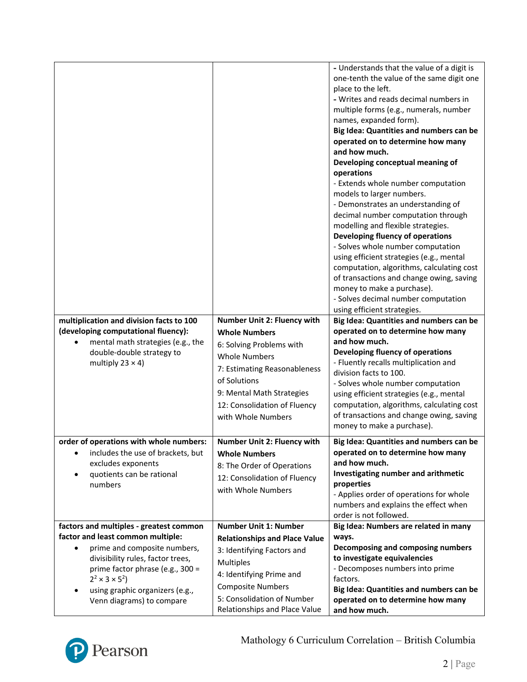|                                                                              |                                                             | - Understands that the value of a digit is         |
|------------------------------------------------------------------------------|-------------------------------------------------------------|----------------------------------------------------|
|                                                                              |                                                             | one-tenth the value of the same digit one          |
|                                                                              |                                                             | place to the left.                                 |
|                                                                              |                                                             | - Writes and reads decimal numbers in              |
|                                                                              |                                                             | multiple forms (e.g., numerals, number             |
|                                                                              |                                                             | names, expanded form).                             |
|                                                                              |                                                             | Big Idea: Quantities and numbers can be            |
|                                                                              |                                                             | operated on to determine how many                  |
|                                                                              |                                                             | and how much.                                      |
|                                                                              |                                                             | Developing conceptual meaning of<br>operations     |
|                                                                              |                                                             | - Extends whole number computation                 |
|                                                                              |                                                             | models to larger numbers.                          |
|                                                                              |                                                             | - Demonstrates an understanding of                 |
|                                                                              |                                                             | decimal number computation through                 |
|                                                                              |                                                             | modelling and flexible strategies.                 |
|                                                                              |                                                             | Developing fluency of operations                   |
|                                                                              |                                                             | - Solves whole number computation                  |
|                                                                              |                                                             | using efficient strategies (e.g., mental           |
|                                                                              |                                                             | computation, algorithms, calculating cost          |
|                                                                              |                                                             | of transactions and change owing, saving           |
|                                                                              |                                                             | money to make a purchase).                         |
|                                                                              |                                                             | - Solves decimal number computation                |
|                                                                              |                                                             | using efficient strategies.                        |
| multiplication and division facts to 100                                     | <b>Number Unit 2: Fluency with</b>                          | Big Idea: Quantities and numbers can be            |
| (developing computational fluency):                                          | <b>Whole Numbers</b>                                        | operated on to determine how many                  |
| mental math strategies (e.g., the                                            |                                                             | and how much.                                      |
|                                                                              | 6: Solving Problems with                                    |                                                    |
| double-double strategy to                                                    | <b>Whole Numbers</b>                                        | Developing fluency of operations                   |
| multiply $23 \times 4$ )                                                     |                                                             | - Fluently recalls multiplication and              |
|                                                                              | 7: Estimating Reasonableness<br>of Solutions                | division facts to 100.                             |
|                                                                              |                                                             | - Solves whole number computation                  |
|                                                                              | 9: Mental Math Strategies                                   | using efficient strategies (e.g., mental           |
|                                                                              | 12: Consolidation of Fluency                                | computation, algorithms, calculating cost          |
|                                                                              | with Whole Numbers                                          | of transactions and change owing, saving           |
|                                                                              |                                                             | money to make a purchase).                         |
| order of operations with whole numbers:                                      | Number Unit 2: Fluency with                                 | Big Idea: Quantities and numbers can be            |
| includes the use of brackets, but                                            | <b>Whole Numbers</b>                                        | operated on to determine how many                  |
| excludes exponents                                                           | 8: The Order of Operations                                  | and how much.                                      |
| quotients can be rational<br>$\bullet$                                       | 12: Consolidation of Fluency                                | Investigating number and arithmetic                |
| numbers                                                                      | with Whole Numbers                                          | properties                                         |
|                                                                              |                                                             | - Applies order of operations for whole            |
|                                                                              |                                                             | numbers and explains the effect when               |
|                                                                              | <b>Number Unit 1: Number</b>                                | order is not followed.                             |
| factors and multiples - greatest common<br>factor and least common multiple: |                                                             | Big Idea: Numbers are related in many<br>ways.     |
| prime and composite numbers,                                                 | <b>Relationships and Place Value</b>                        | Decomposing and composing numbers                  |
| divisibility rules, factor trees,                                            | 3: Identifying Factors and                                  | to investigate equivalencies                       |
| prime factor phrase (e.g., 300 =                                             | <b>Multiples</b>                                            | - Decomposes numbers into prime                    |
| $2^2 \times 3 \times 5^2$                                                    | 4: Identifying Prime and                                    | factors.                                           |
| using graphic organizers (e.g.,<br>٠                                         | <b>Composite Numbers</b>                                    | Big Idea: Quantities and numbers can be            |
| Venn diagrams) to compare                                                    | 5: Consolidation of Number<br>Relationships and Place Value | operated on to determine how many<br>and how much. |

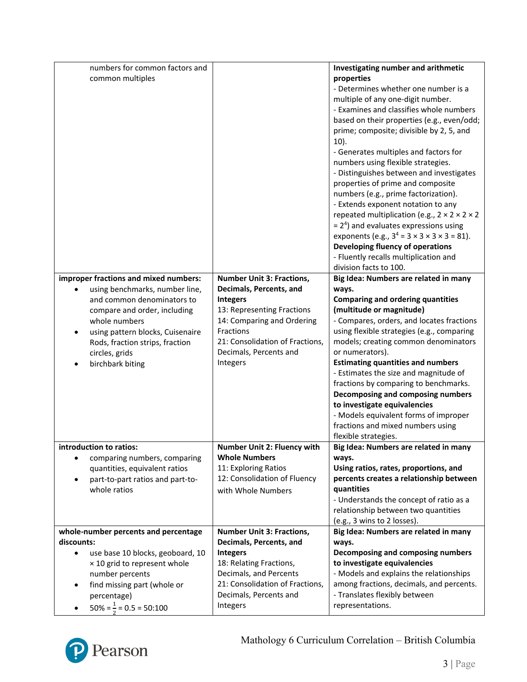|            | numbers for common factors and             |                                            | Investigating number and arithmetic                           |
|------------|--------------------------------------------|--------------------------------------------|---------------------------------------------------------------|
|            | common multiples                           |                                            | properties                                                    |
|            |                                            |                                            | - Determines whether one number is a                          |
|            |                                            |                                            | multiple of any one-digit number.                             |
|            |                                            |                                            | - Examines and classifies whole numbers                       |
|            |                                            |                                            | based on their properties (e.g., even/odd;                    |
|            |                                            |                                            | prime; composite; divisible by 2, 5, and                      |
|            |                                            |                                            | $10$ ).                                                       |
|            |                                            |                                            | - Generates multiples and factors for                         |
|            |                                            |                                            | numbers using flexible strategies.                            |
|            |                                            |                                            | - Distinguishes between and investigates                      |
|            |                                            |                                            | properties of prime and composite                             |
|            |                                            |                                            | numbers (e.g., prime factorization).                          |
|            |                                            |                                            | - Extends exponent notation to any                            |
|            |                                            |                                            | repeated multiplication (e.g., $2 \times 2 \times 2 \times 2$ |
|            |                                            |                                            | $= 24$ ) and evaluates expressions using                      |
|            |                                            |                                            | exponents (e.g., $3^4 = 3 \times 3 \times 3 \times 3 = 81$ ). |
|            |                                            |                                            | Developing fluency of operations                              |
|            |                                            |                                            | - Fluently recalls multiplication and                         |
|            |                                            |                                            | division facts to 100.                                        |
|            | improper fractions and mixed numbers:      | <b>Number Unit 3: Fractions,</b>           | Big Idea: Numbers are related in many                         |
|            | using benchmarks, number line,             | Decimals, Percents, and                    | ways.                                                         |
|            | and common denominators to                 | <b>Integers</b>                            | <b>Comparing and ordering quantities</b>                      |
|            | compare and order, including               | 13: Representing Fractions                 | (multitude or magnitude)                                      |
|            | whole numbers                              | 14: Comparing and Ordering                 | - Compares, orders, and locates fractions                     |
|            | using pattern blocks, Cuisenaire           | Fractions                                  | using flexible strategies (e.g., comparing                    |
|            | Rods, fraction strips, fraction            | 21: Consolidation of Fractions,            | models; creating common denominators                          |
|            | circles, grids                             | Decimals, Percents and                     | or numerators).                                               |
|            | birchbark biting                           | Integers                                   | <b>Estimating quantities and numbers</b>                      |
|            |                                            |                                            |                                                               |
|            |                                            |                                            | - Estimates the size and magnitude of                         |
|            |                                            |                                            | fractions by comparing to benchmarks.                         |
|            |                                            |                                            | Decomposing and composing numbers                             |
|            |                                            |                                            | to investigate equivalencies                                  |
|            |                                            |                                            | - Models equivalent forms of improper                         |
|            |                                            |                                            | fractions and mixed numbers using                             |
|            |                                            |                                            | flexible strategies.                                          |
|            | introduction to ratios:                    | Number Unit 2: Fluency with                | Big Idea: Numbers are related in many                         |
|            | comparing numbers, comparing               | <b>Whole Numbers</b>                       | ways.                                                         |
|            | quantities, equivalent ratios              | 11: Exploring Ratios                       | Using ratios, rates, proportions, and                         |
| $\bullet$  | part-to-part ratios and part-to-           | 12: Consolidation of Fluency               | percents creates a relationship between                       |
|            | whole ratios                               | with Whole Numbers                         | quantities                                                    |
|            |                                            |                                            | - Understands the concept of ratio as a                       |
|            |                                            |                                            | relationship between two quantities                           |
|            |                                            |                                            | (e.g., 3 wins to 2 losses).                                   |
| discounts: | whole-number percents and percentage       | <b>Number Unit 3: Fractions,</b>           | Big Idea: Numbers are related in many<br>ways.                |
| $\bullet$  |                                            | Decimals, Percents, and<br><b>Integers</b> | Decomposing and composing numbers                             |
|            | use base 10 blocks, geoboard, 10           | 18: Relating Fractions,                    | to investigate equivalencies                                  |
|            | × 10 grid to represent whole               | Decimals, and Percents                     | - Models and explains the relationships                       |
| $\bullet$  | number percents                            | 21: Consolidation of Fractions,            | among fractions, decimals, and percents.                      |
|            | find missing part (whole or<br>percentage) | Decimals, Percents and                     | - Translates flexibly between                                 |
|            | $50\% = \frac{1}{3} = 0.5 = 50:100$        | Integers                                   | representations.                                              |

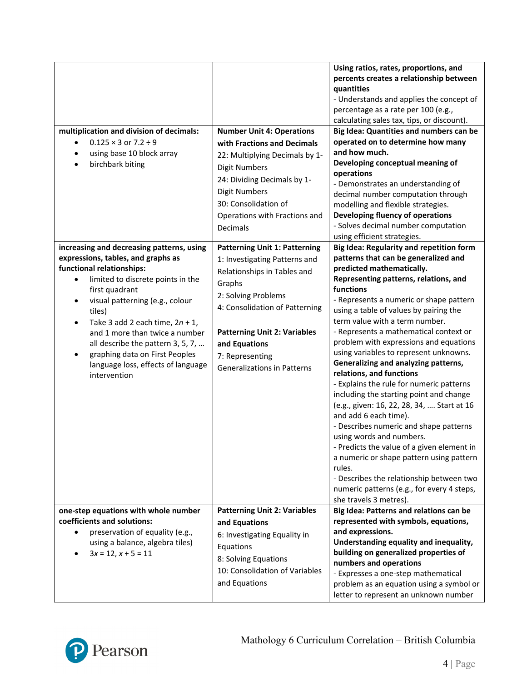|                                                                     |                                      | Using ratios, rates, proportions, and<br>percents creates a relationship between<br>quantities<br>- Understands and applies the concept of<br>percentage as a rate per 100 (e.g.,<br>calculating sales tax, tips, or discount). |
|---------------------------------------------------------------------|--------------------------------------|---------------------------------------------------------------------------------------------------------------------------------------------------------------------------------------------------------------------------------|
| multiplication and division of decimals:                            | <b>Number Unit 4: Operations</b>     | Big Idea: Quantities and numbers can be                                                                                                                                                                                         |
| $0.125 \times 3$ or $7.2 \div 9$<br>$\bullet$                       | with Fractions and Decimals          | operated on to determine how many                                                                                                                                                                                               |
| using base 10 block array<br>$\bullet$                              |                                      | and how much.                                                                                                                                                                                                                   |
| birchbark biting<br>$\bullet$                                       | 22: Multiplying Decimals by 1-       | Developing conceptual meaning of                                                                                                                                                                                                |
|                                                                     | <b>Digit Numbers</b>                 | operations                                                                                                                                                                                                                      |
|                                                                     | 24: Dividing Decimals by 1-          | - Demonstrates an understanding of                                                                                                                                                                                              |
|                                                                     | <b>Digit Numbers</b>                 | decimal number computation through                                                                                                                                                                                              |
|                                                                     | 30: Consolidation of                 | modelling and flexible strategies.                                                                                                                                                                                              |
|                                                                     | Operations with Fractions and        | Developing fluency of operations                                                                                                                                                                                                |
|                                                                     | Decimals                             | - Solves decimal number computation                                                                                                                                                                                             |
|                                                                     |                                      | using efficient strategies.                                                                                                                                                                                                     |
| increasing and decreasing patterns, using                           | <b>Patterning Unit 1: Patterning</b> | Big Idea: Regularity and repetition form                                                                                                                                                                                        |
| expressions, tables, and graphs as                                  | 1: Investigating Patterns and        | patterns that can be generalized and                                                                                                                                                                                            |
| functional relationships:                                           | Relationships in Tables and          | predicted mathematically.                                                                                                                                                                                                       |
| limited to discrete points in the<br>$\bullet$                      |                                      | Representing patterns, relations, and                                                                                                                                                                                           |
| first quadrant                                                      | Graphs                               | functions                                                                                                                                                                                                                       |
| visual patterning (e.g., colour                                     | 2: Solving Problems                  | - Represents a numeric or shape pattern                                                                                                                                                                                         |
| tiles)                                                              | 4: Consolidation of Patterning       | using a table of values by pairing the                                                                                                                                                                                          |
| Take 3 add 2 each time, $2n + 1$ ,<br>$\bullet$                     |                                      | term value with a term number.                                                                                                                                                                                                  |
| and 1 more than twice a number                                      | <b>Patterning Unit 2: Variables</b>  | - Represents a mathematical context or                                                                                                                                                                                          |
| all describe the pattern 3, 5, 7,                                   | and Equations                        | problem with expressions and equations                                                                                                                                                                                          |
| graphing data on First Peoples                                      | 7: Representing                      | using variables to represent unknowns.                                                                                                                                                                                          |
| language loss, effects of language                                  | <b>Generalizations in Patterns</b>   | Generalizing and analyzing patterns,                                                                                                                                                                                            |
| intervention                                                        |                                      | relations, and functions                                                                                                                                                                                                        |
|                                                                     |                                      | - Explains the rule for numeric patterns                                                                                                                                                                                        |
|                                                                     |                                      | including the starting point and change                                                                                                                                                                                         |
|                                                                     |                                      | (e.g., given: 16, 22, 28, 34,  Start at 16                                                                                                                                                                                      |
|                                                                     |                                      | and add 6 each time).                                                                                                                                                                                                           |
|                                                                     |                                      | - Describes numeric and shape patterns                                                                                                                                                                                          |
|                                                                     |                                      | using words and numbers.                                                                                                                                                                                                        |
|                                                                     |                                      | - Predicts the value of a given element in                                                                                                                                                                                      |
|                                                                     |                                      | a numeric or shape pattern using pattern                                                                                                                                                                                        |
|                                                                     |                                      | rules.                                                                                                                                                                                                                          |
|                                                                     |                                      | - Describes the relationship between two                                                                                                                                                                                        |
|                                                                     |                                      | numeric patterns (e.g., for every 4 steps,                                                                                                                                                                                      |
|                                                                     |                                      | she travels 3 metres).                                                                                                                                                                                                          |
| one-step equations with whole number<br>coefficients and solutions: | <b>Patterning Unit 2: Variables</b>  | Big Idea: Patterns and relations can be<br>represented with symbols, equations,                                                                                                                                                 |
| preservation of equality (e.g.,<br>$\bullet$                        | and Equations                        | and expressions.                                                                                                                                                                                                                |
| using a balance, algebra tiles)                                     | 6: Investigating Equality in         | Understanding equality and inequality,                                                                                                                                                                                          |
| $3x = 12, x + 5 = 11$                                               | Equations                            | building on generalized properties of                                                                                                                                                                                           |
|                                                                     | 8: Solving Equations                 | numbers and operations                                                                                                                                                                                                          |
|                                                                     | 10: Consolidation of Variables       | - Expresses a one-step mathematical                                                                                                                                                                                             |
|                                                                     | and Equations                        | problem as an equation using a symbol or                                                                                                                                                                                        |
|                                                                     |                                      | letter to represent an unknown number                                                                                                                                                                                           |

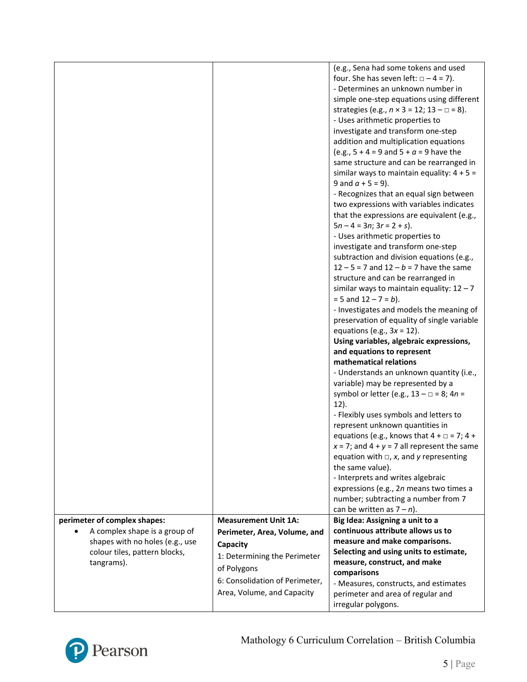|                                 |                                | (e.g., Sena had some tokens and used                                 |
|---------------------------------|--------------------------------|----------------------------------------------------------------------|
|                                 |                                | four. She has seven left: $\Box - 4 = 7$ ).                          |
|                                 |                                | - Determines an unknown number in                                    |
|                                 |                                | simple one-step equations using different                            |
|                                 |                                | strategies (e.g., $n \times 3 = 12$ ; $13 - \square = 8$ ).          |
|                                 |                                | - Uses arithmetic properties to                                      |
|                                 |                                | investigate and transform one-step                                   |
|                                 |                                | addition and multiplication equations                                |
|                                 |                                | (e.g., $5 + 4 = 9$ and $5 + a = 9$ have the                          |
|                                 |                                | same structure and can be rearranged in                              |
|                                 |                                | similar ways to maintain equality: $4 + 5 =$                         |
|                                 |                                | 9 and $a + 5 = 9$ ).                                                 |
|                                 |                                |                                                                      |
|                                 |                                | - Recognizes that an equal sign between                              |
|                                 |                                | two expressions with variables indicates                             |
|                                 |                                | that the expressions are equivalent (e.g.,                           |
|                                 |                                | $5n - 4 = 3n$ ; $3r = 2 + s$ ).                                      |
|                                 |                                | - Uses arithmetic properties to                                      |
|                                 |                                | investigate and transform one-step                                   |
|                                 |                                | subtraction and division equations (e.g.,                            |
|                                 |                                | $12 - 5 = 7$ and $12 - b = 7$ have the same                          |
|                                 |                                | structure and can be rearranged in                                   |
|                                 |                                | similar ways to maintain equality: $12 - 7$                          |
|                                 |                                | $= 5$ and $12 - 7 = b$ ).                                            |
|                                 |                                | - Investigates and models the meaning of                             |
|                                 |                                | preservation of equality of single variable                          |
|                                 |                                | equations (e.g., $3x = 12$ ).                                        |
|                                 |                                | Using variables, algebraic expressions,                              |
|                                 |                                | and equations to represent                                           |
|                                 |                                | mathematical relations                                               |
|                                 |                                | - Understands an unknown quantity (i.e.,                             |
|                                 |                                | variable) may be represented by a                                    |
|                                 |                                | symbol or letter (e.g., $13 - \square = 8$ ; $4n =$                  |
|                                 |                                | $12$ ).                                                              |
|                                 |                                | - Flexibly uses symbols and letters to                               |
|                                 |                                | represent unknown quantities in                                      |
|                                 |                                | equations (e.g., knows that $4 + \square = 7$ ; $4 +$                |
|                                 |                                | $x = 7$ ; and $4 + y = 7$ all represent the same                     |
|                                 |                                | equation with $\Box$ , x, and y representing                         |
|                                 |                                | the same value).                                                     |
|                                 |                                | - Interprets and writes algebraic                                    |
|                                 |                                | expressions (e.g., 2n means two times a                              |
|                                 |                                | number; subtracting a number from 7                                  |
|                                 |                                |                                                                      |
|                                 |                                | can be written as $7 - n$ ).                                         |
| perimeter of complex shapes:    | <b>Measurement Unit 1A:</b>    | Big Idea: Assigning a unit to a<br>continuous attribute allows us to |
| A complex shape is a group of   | Perimeter, Area, Volume, and   |                                                                      |
| shapes with no holes (e.g., use | Capacity                       | measure and make comparisons.                                        |
| colour tiles, pattern blocks,   | 1: Determining the Perimeter   | Selecting and using units to estimate,                               |
| tangrams).                      | of Polygons                    | measure, construct, and make                                         |
|                                 | 6: Consolidation of Perimeter, | comparisons                                                          |
|                                 |                                | - Measures, constructs, and estimates                                |
|                                 | Area, Volume, and Capacity     | perimeter and area of regular and                                    |
|                                 |                                | irregular polygons.                                                  |

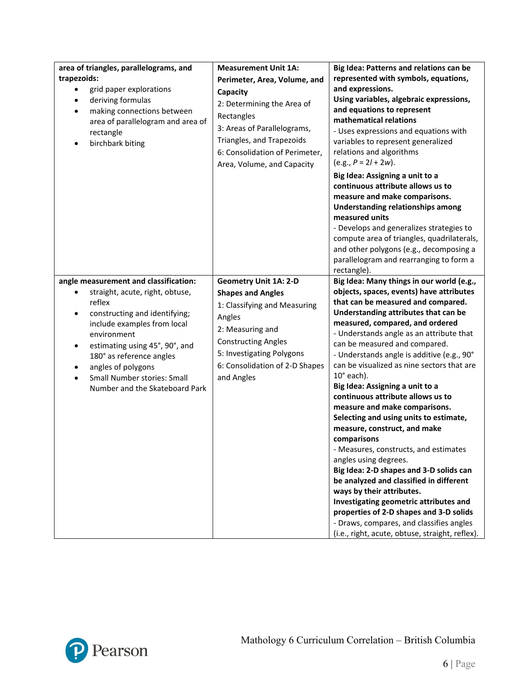| area of triangles, parallelograms, and<br>trapezoids:<br>grid paper explorations<br>deriving formulas<br>$\bullet$<br>making connections between<br>$\bullet$<br>area of parallelogram and area of<br>rectangle<br>birchbark biting                                                                                                   | <b>Measurement Unit 1A:</b><br>Perimeter, Area, Volume, and<br>Capacity<br>2: Determining the Area of<br>Rectangles<br>3: Areas of Parallelograms,<br>Triangles, and Trapezoids<br>6: Consolidation of Perimeter,<br>Area, Volume, and Capacity | Big Idea: Patterns and relations can be<br>represented with symbols, equations,<br>and expressions.<br>Using variables, algebraic expressions,<br>and equations to represent<br>mathematical relations<br>- Uses expressions and equations with<br>variables to represent generalized<br>relations and algorithms<br>$(e.g., P = 2l + 2w).$<br>Big Idea: Assigning a unit to a<br>continuous attribute allows us to<br>measure and make comparisons.<br><b>Understanding relationships among</b><br>measured units<br>- Develops and generalizes strategies to<br>compute area of triangles, quadrilaterals,<br>and other polygons (e.g., decomposing a<br>parallelogram and rearranging to form a<br>rectangle).                                                                                                                                                                                                                                                                 |
|---------------------------------------------------------------------------------------------------------------------------------------------------------------------------------------------------------------------------------------------------------------------------------------------------------------------------------------|-------------------------------------------------------------------------------------------------------------------------------------------------------------------------------------------------------------------------------------------------|-----------------------------------------------------------------------------------------------------------------------------------------------------------------------------------------------------------------------------------------------------------------------------------------------------------------------------------------------------------------------------------------------------------------------------------------------------------------------------------------------------------------------------------------------------------------------------------------------------------------------------------------------------------------------------------------------------------------------------------------------------------------------------------------------------------------------------------------------------------------------------------------------------------------------------------------------------------------------------------|
| angle measurement and classification:<br>straight, acute, right, obtuse,<br>٠<br>reflex<br>constructing and identifying;<br>٠<br>include examples from local<br>environment<br>estimating using 45°, 90°, and<br>180° as reference angles<br>angles of polygons<br>٠<br>Small Number stories: Small<br>Number and the Skateboard Park | <b>Geometry Unit 1A: 2-D</b><br><b>Shapes and Angles</b><br>1: Classifying and Measuring<br>Angles<br>2: Measuring and<br><b>Constructing Angles</b><br>5: Investigating Polygons<br>6: Consolidation of 2-D Shapes<br>and Angles               | Big Idea: Many things in our world (e.g.,<br>objects, spaces, events) have attributes<br>that can be measured and compared.<br>Understanding attributes that can be<br>measured, compared, and ordered<br>- Understands angle as an attribute that<br>can be measured and compared.<br>- Understands angle is additive (e.g., 90°<br>can be visualized as nine sectors that are<br>$10^{\circ}$ each).<br>Big Idea: Assigning a unit to a<br>continuous attribute allows us to<br>measure and make comparisons.<br>Selecting and using units to estimate,<br>measure, construct, and make<br>comparisons<br>- Measures, constructs, and estimates<br>angles using degrees.<br>Big Idea: 2-D shapes and 3-D solids can<br>be analyzed and classified in different<br>ways by their attributes.<br>Investigating geometric attributes and<br>properties of 2-D shapes and 3-D solids<br>- Draws, compares, and classifies angles<br>(i.e., right, acute, obtuse, straight, reflex). |

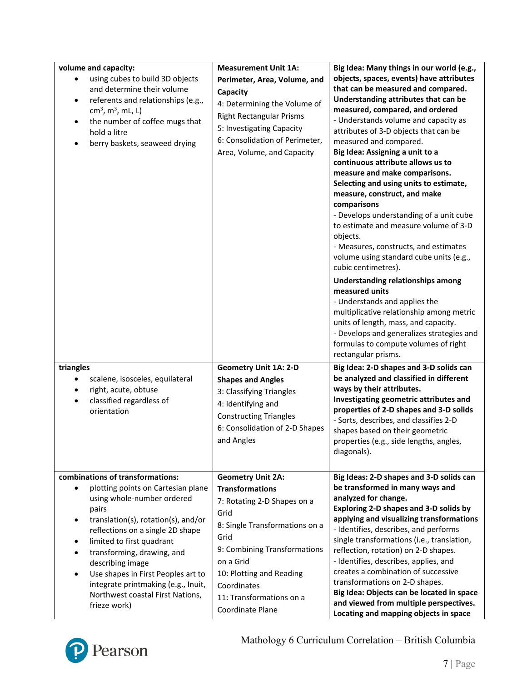| volume and capacity:<br>using cubes to build 3D objects<br>and determine their volume<br>referents and relationships (e.g.,<br>$\bullet$<br>$cm3$ , m <sup>3</sup> , mL, L)<br>the number of coffee mugs that<br>$\bullet$<br>hold a litre<br>berry baskets, seaweed drying                                                                                                                                                                     | <b>Measurement Unit 1A:</b><br>Perimeter, Area, Volume, and<br>Capacity<br>4: Determining the Volume of<br><b>Right Rectangular Prisms</b><br>5: Investigating Capacity<br>6: Consolidation of Perimeter,<br>Area, Volume, and Capacity                                     | Big Idea: Many things in our world (e.g.,<br>objects, spaces, events) have attributes<br>that can be measured and compared.<br>Understanding attributes that can be<br>measured, compared, and ordered<br>- Understands volume and capacity as<br>attributes of 3-D objects that can be<br>measured and compared.<br>Big Idea: Assigning a unit to a<br>continuous attribute allows us to<br>measure and make comparisons.<br>Selecting and using units to estimate,<br>measure, construct, and make<br>comparisons<br>- Develops understanding of a unit cube<br>to estimate and measure volume of 3-D<br>objects.<br>- Measures, constructs, and estimates<br>volume using standard cube units (e.g.,<br>cubic centimetres).<br>Understanding relationships among<br>measured units<br>- Understands and applies the<br>multiplicative relationship among metric<br>units of length, mass, and capacity.<br>- Develops and generalizes strategies and<br>formulas to compute volumes of right<br>rectangular prisms. |
|-------------------------------------------------------------------------------------------------------------------------------------------------------------------------------------------------------------------------------------------------------------------------------------------------------------------------------------------------------------------------------------------------------------------------------------------------|-----------------------------------------------------------------------------------------------------------------------------------------------------------------------------------------------------------------------------------------------------------------------------|------------------------------------------------------------------------------------------------------------------------------------------------------------------------------------------------------------------------------------------------------------------------------------------------------------------------------------------------------------------------------------------------------------------------------------------------------------------------------------------------------------------------------------------------------------------------------------------------------------------------------------------------------------------------------------------------------------------------------------------------------------------------------------------------------------------------------------------------------------------------------------------------------------------------------------------------------------------------------------------------------------------------|
| triangles<br>scalene, isosceles, equilateral<br>٠<br>right, acute, obtuse<br>$\bullet$<br>classified regardless of<br>$\bullet$<br>orientation                                                                                                                                                                                                                                                                                                  | <b>Geometry Unit 1A: 2-D</b><br><b>Shapes and Angles</b><br>3: Classifying Triangles<br>4: Identifying and<br><b>Constructing Triangles</b><br>6: Consolidation of 2-D Shapes<br>and Angles                                                                                 | Big Idea: 2-D shapes and 3-D solids can<br>be analyzed and classified in different<br>ways by their attributes.<br>Investigating geometric attributes and<br>properties of 2-D shapes and 3-D solids<br>- Sorts, describes, and classifies 2-D<br>shapes based on their geometric<br>properties (e.g., side lengths, angles,<br>diagonals).                                                                                                                                                                                                                                                                                                                                                                                                                                                                                                                                                                                                                                                                            |
| combinations of transformations:<br>plotting points on Cartesian plane<br>$\bullet$<br>using whole-number ordered<br>pairs<br>translation(s), rotation(s), and/or<br>reflections on a single 2D shape<br>limited to first quadrant<br>$\bullet$<br>transforming, drawing, and<br>describing image<br>Use shapes in First Peoples art to<br>$\bullet$<br>integrate printmaking (e.g., Inuit,<br>Northwest coastal First Nations,<br>frieze work) | <b>Geometry Unit 2A:</b><br><b>Transformations</b><br>7: Rotating 2-D Shapes on a<br>Grid<br>8: Single Transformations on a<br>Grid<br>9: Combining Transformations<br>on a Grid<br>10: Plotting and Reading<br>Coordinates<br>11: Transformations on a<br>Coordinate Plane | Big Ideas: 2-D shapes and 3-D solids can<br>be transformed in many ways and<br>analyzed for change.<br>Exploring 2-D shapes and 3-D solids by<br>applying and visualizing transformations<br>- Identifies, describes, and performs<br>single transformations (i.e., translation,<br>reflection, rotation) on 2-D shapes.<br>- Identifies, describes, applies, and<br>creates a combination of successive<br>transformations on 2-D shapes.<br>Big Idea: Objects can be located in space<br>and viewed from multiple perspectives.<br>Locating and mapping objects in space                                                                                                                                                                                                                                                                                                                                                                                                                                             |



Mathology 6 Curriculum Correlation – British Columbia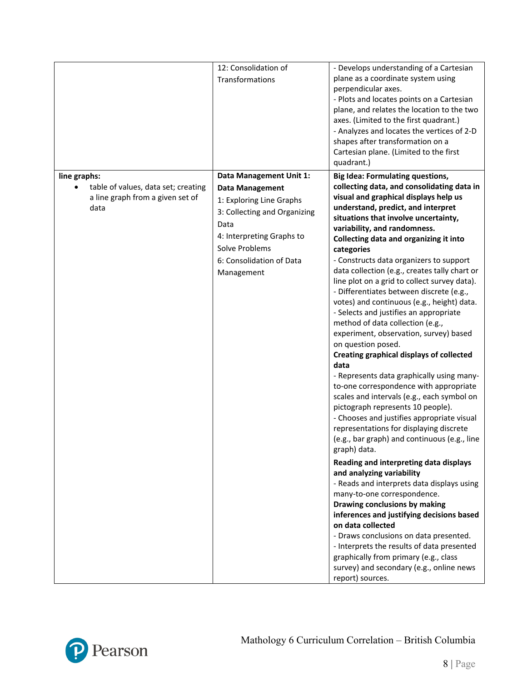|                                          | 12: Consolidation of         | - Develops understanding of a Cartesian                                     |
|------------------------------------------|------------------------------|-----------------------------------------------------------------------------|
|                                          | Transformations              | plane as a coordinate system using                                          |
|                                          |                              | perpendicular axes.                                                         |
|                                          |                              | - Plots and locates points on a Cartesian                                   |
|                                          |                              | plane, and relates the location to the two                                  |
|                                          |                              | axes. (Limited to the first quadrant.)                                      |
|                                          |                              | - Analyzes and locates the vertices of 2-D                                  |
|                                          |                              | shapes after transformation on a                                            |
|                                          |                              | Cartesian plane. (Limited to the first                                      |
|                                          |                              | quadrant.)                                                                  |
| line graphs:                             | Data Management Unit 1:      | <b>Big Idea: Formulating questions,</b>                                     |
| table of values, data set; creating      | <b>Data Management</b>       | collecting data, and consolidating data in                                  |
| a line graph from a given set of<br>data | 1: Exploring Line Graphs     | visual and graphical displays help us<br>understand, predict, and interpret |
|                                          | 3: Collecting and Organizing | situations that involve uncertainty,                                        |
|                                          | Data                         | variability, and randomness.                                                |
|                                          | 4: Interpreting Graphs to    | Collecting data and organizing it into                                      |
|                                          | Solve Problems               | categories                                                                  |
|                                          | 6: Consolidation of Data     | - Constructs data organizers to support                                     |
|                                          | Management                   | data collection (e.g., creates tally chart or                               |
|                                          |                              | line plot on a grid to collect survey data).                                |
|                                          |                              | - Differentiates between discrete (e.g.,                                    |
|                                          |                              | votes) and continuous (e.g., height) data.                                  |
|                                          |                              | - Selects and justifies an appropriate                                      |
|                                          |                              | method of data collection (e.g.,                                            |
|                                          |                              | experiment, observation, survey) based                                      |
|                                          |                              | on question posed.<br><b>Creating graphical displays of collected</b>       |
|                                          |                              | data                                                                        |
|                                          |                              | - Represents data graphically using many-                                   |
|                                          |                              | to-one correspondence with appropriate                                      |
|                                          |                              | scales and intervals (e.g., each symbol on                                  |
|                                          |                              | pictograph represents 10 people).                                           |
|                                          |                              | - Chooses and justifies appropriate visual                                  |
|                                          |                              | representations for displaying discrete                                     |
|                                          |                              | (e.g., bar graph) and continuous (e.g., line                                |
|                                          |                              | graph) data.                                                                |
|                                          |                              | Reading and interpreting data displays                                      |
|                                          |                              | and analyzing variability                                                   |
|                                          |                              | - Reads and interprets data displays using                                  |
|                                          |                              | many-to-one correspondence.                                                 |
|                                          |                              | Drawing conclusions by making                                               |
|                                          |                              | inferences and justifying decisions based<br>on data collected              |
|                                          |                              | - Draws conclusions on data presented.                                      |
|                                          |                              | - Interprets the results of data presented                                  |
|                                          |                              | graphically from primary (e.g., class                                       |
|                                          |                              | survey) and secondary (e.g., online news                                    |
|                                          |                              | report) sources.                                                            |